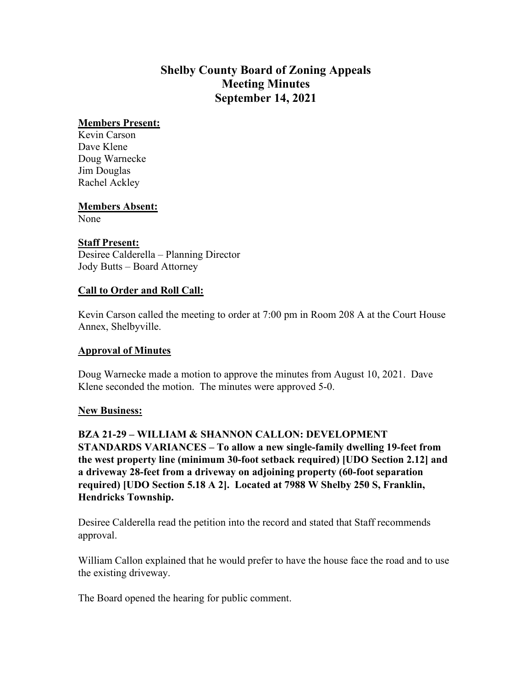# **Shelby County Board of Zoning Appeals Meeting Minutes September 14, 2021**

## **Members Present:**

Kevin Carson Dave Klene Doug Warnecke Jim Douglas Rachel Ackley

## **Members Absent:**

None

# **Staff Present:**

Desiree Calderella – Planning Director Jody Butts – Board Attorney

## **Call to Order and Roll Call:**

Kevin Carson called the meeting to order at 7:00 pm in Room 208 A at the Court House Annex, Shelbyville.

# **Approval of Minutes**

Doug Warnecke made a motion to approve the minutes from August 10, 2021. Dave Klene seconded the motion. The minutes were approved 5-0.

### **New Business:**

**BZA 21-29 – WILLIAM & SHANNON CALLON: DEVELOPMENT STANDARDS VARIANCES – To allow a new single-family dwelling 19-feet from the west property line (minimum 30-foot setback required) [UDO Section 2.12] and a driveway 28-feet from a driveway on adjoining property (60-foot separation required) [UDO Section 5.18 A 2]. Located at 7988 W Shelby 250 S, Franklin, Hendricks Township.**

Desiree Calderella read the petition into the record and stated that Staff recommends approval.

William Callon explained that he would prefer to have the house face the road and to use the existing driveway.

The Board opened the hearing for public comment.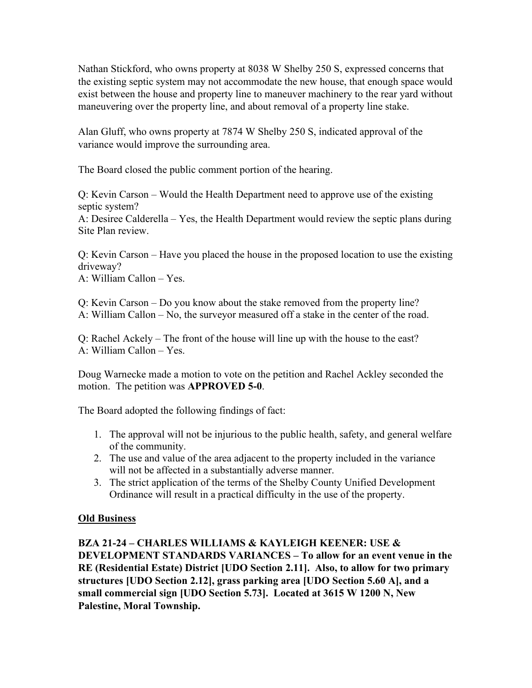Nathan Stickford, who owns property at 8038 W Shelby 250 S, expressed concerns that the existing septic system may not accommodate the new house, that enough space would exist between the house and property line to maneuver machinery to the rear yard without maneuvering over the property line, and about removal of a property line stake.

Alan Gluff, who owns property at 7874 W Shelby 250 S, indicated approval of the variance would improve the surrounding area.

The Board closed the public comment portion of the hearing.

Q: Kevin Carson – Would the Health Department need to approve use of the existing septic system?

A: Desiree Calderella – Yes, the Health Department would review the septic plans during Site Plan review.

Q: Kevin Carson – Have you placed the house in the proposed location to use the existing driveway?

A: William Callon – Yes.

Q: Kevin Carson – Do you know about the stake removed from the property line? A: William Callon – No, the surveyor measured off a stake in the center of the road.

Q: Rachel Ackely – The front of the house will line up with the house to the east? A: William Callon – Yes.

Doug Warnecke made a motion to vote on the petition and Rachel Ackley seconded the motion. The petition was **APPROVED 5-0**.

The Board adopted the following findings of fact:

- 1. The approval will not be injurious to the public health, safety, and general welfare of the community.
- 2. The use and value of the area adjacent to the property included in the variance will not be affected in a substantially adverse manner.
- 3. The strict application of the terms of the Shelby County Unified Development Ordinance will result in a practical difficulty in the use of the property.

# **Old Business**

**BZA 21-24 – CHARLES WILLIAMS & KAYLEIGH KEENER: USE & DEVELOPMENT STANDARDS VARIANCES – To allow for an event venue in the RE (Residential Estate) District [UDO Section 2.11]. Also, to allow for two primary structures [UDO Section 2.12], grass parking area [UDO Section 5.60 A], and a small commercial sign [UDO Section 5.73]. Located at 3615 W 1200 N, New Palestine, Moral Township.**